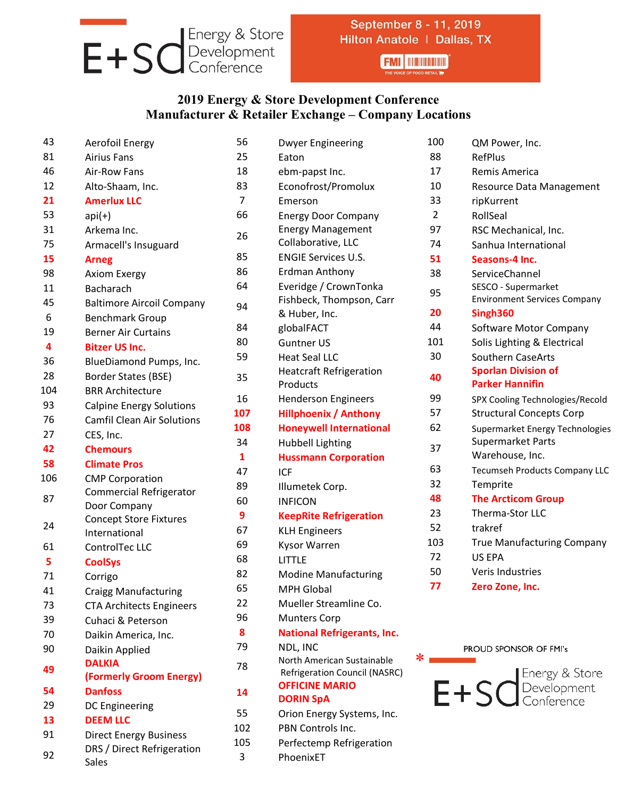

## September 8 - 11, 2019 Hilton Anatole | Dallas, TX

**FMI | INDUNDER** 

## **2019 Energy & Store Development Conference Manufacturer & Retailer Exchange – Company Locations**

| 43  | Aerofoil Energy                   | 56           | <b>Dwyer Engineering</b>           |
|-----|-----------------------------------|--------------|------------------------------------|
| 81  | <b>Airius Fans</b>                | 25           | Eaton                              |
| 46  | <b>Air-Row Fans</b>               | 18           | ebm-papst Inc.                     |
| 12  | Alto-Shaam, Inc.                  | 83           | Econofrost/Promolux                |
| 21  | <b>Amerlux LLC</b>                | 7            | Emerson                            |
| 53  | $api(+)$                          | 66           | <b>Energy Door Company</b>         |
| 31  | Arkema Inc.                       | 26           | <b>Energy Management</b>           |
| 75  | Armacell's Insuguard              |              | Collaborative, LLC                 |
| 15  | <b>Arneg</b>                      | 85           | <b>ENGIE Services U.S.</b>         |
| 98  | <b>Axiom Exergy</b>               | 86           | <b>Erdman Anthony</b>              |
| 11  | <b>Bacharach</b>                  | 64           | Everidge / CrownTonka              |
| 45  | <b>Baltimore Aircoil Company</b>  | 94           | Fishbeck, Thompson, Carr           |
| 6   | <b>Benchmark Group</b>            |              | & Huber, Inc.                      |
| 19  | <b>Berner Air Curtains</b>        | 84           | globalFACT                         |
| 4   | <b>Bitzer US Inc.</b>             | 80           | <b>Guntner US</b>                  |
| 36  | BlueDiamond Pumps, Inc.           | 59           | <b>Heat Seal LLC</b>               |
| 28  | Border States (BSE)               | 35           | <b>Heatcraft Refrigeration</b>     |
| 104 | <b>BRR Architecture</b>           |              | Products                           |
| 93  | <b>Calpine Energy Solutions</b>   | 16           | <b>Henderson Engineers</b>         |
| 76  | <b>Camfil Clean Air Solutions</b> | 107          | <b>Hillphoenix / Anthony</b>       |
| 27  | CES, Inc.                         | 108          | <b>Honeywell International</b>     |
| 42  | <b>Chemours</b>                   | 34           | <b>Hubbell Lighting</b>            |
| 58  | <b>Climate Pros</b>               | $\mathbf{1}$ | <b>Hussmann Corporation</b>        |
| 106 | <b>CMP Corporation</b>            | 47           | <b>ICF</b>                         |
| 87  | <b>Commercial Refrigerator</b>    | 89           | Illumetek Corp.                    |
|     | Door Company                      | 60           | <b>INFICON</b>                     |
|     | <b>Concept Store Fixtures</b>     | 9            | <b>KeepRite Refrigeration</b>      |
| 24  | International                     | 67           | <b>KLH Engineers</b>               |
| 61  | ControlTec LLC                    | 69           | Kysor Warren                       |
| 5   | <b>CoolSys</b>                    | 68           | <b>LITTLE</b>                      |
| 71  | Corrigo                           | 82           | <b>Modine Manufacturing</b>        |
| 41  | <b>Craigg Manufacturing</b>       | 65           | MPH Global                         |
| 73  | <b>CTA Architects Engineers</b>   | 22           | Mueller Streamline Co.             |
| 39  | Cuhaci & Peterson                 | 96           | <b>Munters Corp</b>                |
| 70  | Daikin America, Inc.              | 8            | <b>National Refrigerants, Inc.</b> |
| 90  | Daikin Applied                    | 79           | NDL, INC                           |
| 49  | <b>DALKIA</b>                     | 78           | North American Sustainable         |
|     | (Formerly Groom Energy)           |              | Refrigeration Council (NASRC)      |
| 54  | <b>Danfoss</b>                    | 14           | <b>OFFICINE MARIO</b>              |
| 29  | <b>DC Engineering</b>             | 55           | <b>DORIN SpA</b>                   |
| 13  | <b>DEEM LLC</b>                   |              | Orion Energy Systems, Inc.         |
| 91  | <b>Direct Energy Business</b>     | 102          | PBN Controls Inc.                  |
| 92  | DRS / Direct Refrigeration        | 105          | Perfectemp Refrigeration           |
|     | Sales                             | 3            | PhoenixET                          |

| ering                  | 100            | QM Power, Inc.                                             |
|------------------------|----------------|------------------------------------------------------------|
|                        | 88             | <b>RefPlus</b>                                             |
| ∶.                     | 17             | Remis America                                              |
| omolux                 | 10             | Resource Data Management                                   |
|                        | 33             | ripKurrent                                                 |
| company                | $\overline{2}$ | RollSeal                                                   |
| gement                 | 97             | RSC Mechanical, Inc.                                       |
| LLC                    | 74             | Sanhua International                                       |
| s U.S.                 | 51             | Seasons-4 Inc.                                             |
| ony                    | 38             | ServiceChannel                                             |
| wnTonka<br>mpson, Carr | 95             | SESCO - Supermarket<br><b>Environment Services Company</b> |
|                        | 20             | Singh360                                                   |
|                        | 44             | Software Motor Company                                     |
|                        | 101            | Solis Lighting & Electrical                                |
|                        | 30             | <b>Southern CaseArts</b>                                   |
| igeration              | 40             | <b>Sporlan Division of</b><br><b>Parker Hannifin</b>       |
| gineers                | 99             | SPX Cooling Technologies/Recold                            |
| <b>Anthony</b>         | 57             | <b>Structural Concepts Corp</b>                            |
| ternational            | 62             | Supermarket Energy Technologies                            |
| ng                     |                | Supermarket Parts                                          |
| rporation              | 37             | Warehouse, Inc.                                            |
|                        | 63             | <b>Tecumseh Products Company LLC</b>                       |
| ງ.                     | 32             | Temprite                                                   |
|                        | 48             | <b>The Arcticom Group</b>                                  |
| igeration              | 23             | Therma-Stor LLC                                            |
|                        | 52             | trakref                                                    |
|                        | 103            | <b>True Manufacturing Company</b>                          |
|                        | 72             | <b>US EPA</b>                                              |
| facturing              | 50             | Veris Industries                                           |
|                        | 77             | Zero Zone, Inc.                                            |
| mline Co.              |                |                                                            |
| igerants, Inc.         |                |                                                            |
|                        |                | PROUD SPONSOR OF FMI's                                     |
| Sustainable            | ∗              |                                                            |
| <b>Council (NASRC)</b> |                | <b>I</b> Energy & Store                                    |

E+SCEnergy & Store